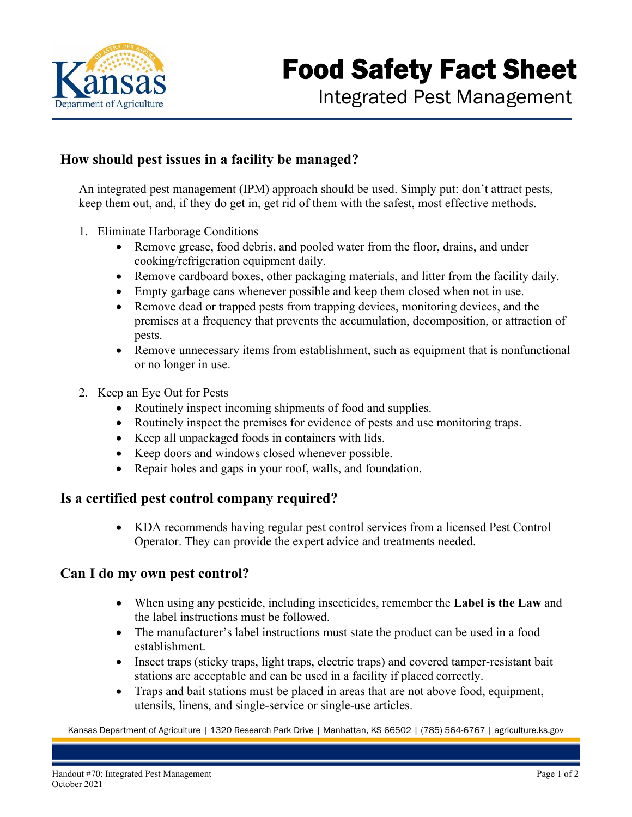

## **How should pest issues in a facility be managed?**

An integrated pest management (IPM) approach should be used. Simply put: don't attract pests, keep them out, and, if they do get in, get rid of them with the safest, most effective methods.

- 1. Eliminate Harborage Conditions
	- Remove grease, food debris, and pooled water from the floor, drains, and under cooking/refrigeration equipment daily.
	- Remove cardboard boxes, other packaging materials, and litter from the facility daily.
	- Empty garbage cans whenever possible and keep them closed when not in use.
	- Remove dead or trapped pests from trapping devices, monitoring devices, and the premises at a frequency that prevents the accumulation, decomposition, or attraction of pests.
	- Remove unnecessary items from establishment, such as equipment that is nonfunctional or no longer in use.
- 2. Keep an Eye Out for Pests
	- Routinely inspect incoming shipments of food and supplies.
	- Routinely inspect the premises for evidence of pests and use monitoring traps.
	- Keep all unpackaged foods in containers with lids.
	- Keep doors and windows closed whenever possible.
	- Repair holes and gaps in your roof, walls, and foundation.

## **Is a certified pest control company required?**

 KDA recommends having regular pest control services from a licensed Pest Control Operator. They can provide the expert advice and treatments needed.

### **Can I do my own pest control?**

- When using any pesticide, including insecticides, remember the **Label is the Law** and the label instructions must be followed.
- The manufacturer's label instructions must state the product can be used in a food establishment.
- Insect traps (sticky traps, light traps, electric traps) and covered tamper-resistant bait stations are acceptable and can be used in a facility if placed correctly.
- Traps and bait stations must be placed in areas that are not above food, equipment, utensils, linens, and single-service or single-use articles.

Kansas Department of Agriculture | 1320 Research Park Drive | Manhattan, KS 66502 | (785) 564-6767 | agriculture.ks.gov